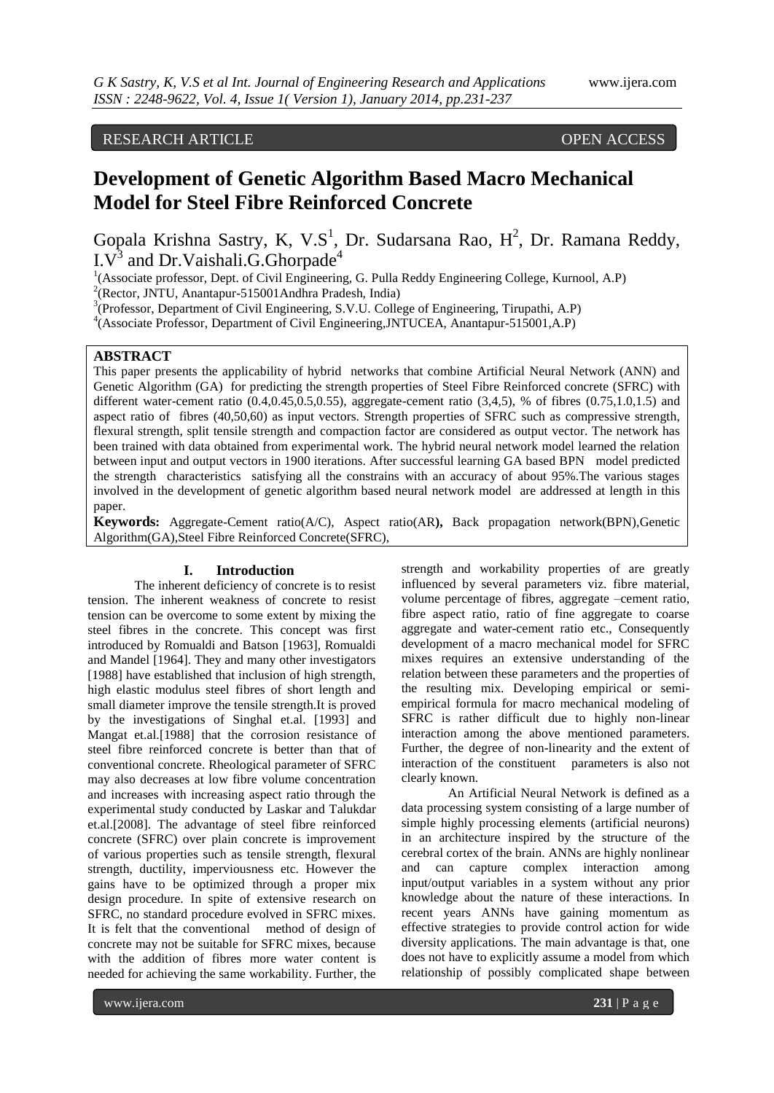# RESEARCH ARTICLE OPEN ACCESS

# **Development of Genetic Algorithm Based Macro Mechanical Model for Steel Fibre Reinforced Concrete**

Gopala Krishna Sastry, K, V.S<sup>1</sup>, Dr. Sudarsana Rao, H<sup>2</sup>, Dr. Ramana Reddy, I. $V^3$  and Dr. Vaishali.G.Ghorpade<sup>4</sup>

<sup>1</sup>(Associate professor, Dept. of Civil Engineering, G. Pulla Reddy Engineering College, Kurnool, A.P)

2 (Rector, JNTU, Anantapur-515001Andhra Pradesh, India)

<sup>3</sup>(Professor, Department of Civil Engineering, S.V.U. College of Engineering, Tirupathi, A.P)

4 (Associate Professor, Department of Civil Engineering,JNTUCEA, Anantapur-515001,A.P)

### **ABSTRACT**

This paper presents the applicability of hybrid networks that combine Artificial Neural Network (ANN) and Genetic Algorithm (GA) for predicting the strength properties of Steel Fibre Reinforced concrete (SFRC) with different water-cement ratio  $(0.4,0.45,0.5,0.55)$ , aggregate-cement ratio  $(3,4,5)$ , % of fibres  $(0.75,1.0,1.5)$  and aspect ratio of fibres (40,50,60) as input vectors. Strength properties of SFRC such as compressive strength, flexural strength, split tensile strength and compaction factor are considered as output vector. The network has been trained with data obtained from experimental work. The hybrid neural network model learned the relation between input and output vectors in 1900 iterations. After successful learning GA based BPN model predicted the strength characteristics satisfying all the constrains with an accuracy of about 95%.The various stages involved in the development of genetic algorithm based neural network model are addressed at length in this paper.

**Keywords:** Aggregate-Cement ratio(A/C), Aspect ratio(AR**),** Back propagation network(BPN),Genetic Algorithm(GA),Steel Fibre Reinforced Concrete(SFRC),

#### **I. Introduction**

The inherent deficiency of concrete is to resist tension. The inherent weakness of concrete to resist tension can be overcome to some extent by mixing the steel fibres in the concrete. This concept was first introduced by Romualdi and Batson [1963], Romualdi and Mandel [1964]. They and many other investigators [1988] have established that inclusion of high strength, high elastic modulus steel fibres of short length and small diameter improve the tensile strength.It is proved by the investigations of Singhal et.al. [1993] and Mangat et.al.[1988] that the corrosion resistance of steel fibre reinforced concrete is better than that of conventional concrete. Rheological parameter of SFRC may also decreases at low fibre volume concentration and increases with increasing aspect ratio through the experimental study conducted by Laskar and Talukdar et.al.[2008]. The advantage of steel fibre reinforced concrete (SFRC) over plain concrete is improvement of various properties such as tensile strength, flexural strength, ductility, imperviousness etc. However the gains have to be optimized through a proper mix design procedure. In spite of extensive research on SFRC, no standard procedure evolved in SFRC mixes. It is felt that the conventional method of design of concrete may not be suitable for SFRC mixes, because with the addition of fibres more water content is needed for achieving the same workability. Further, the

strength and workability properties of are greatly influenced by several parameters viz. fibre material, volume percentage of fibres, aggregate –cement ratio, fibre aspect ratio, ratio of fine aggregate to coarse aggregate and water-cement ratio etc., Consequently development of a macro mechanical model for SFRC mixes requires an extensive understanding of the relation between these parameters and the properties of the resulting mix. Developing empirical or semiempirical formula for macro mechanical modeling of SFRC is rather difficult due to highly non-linear interaction among the above mentioned parameters. Further, the degree of non-linearity and the extent of interaction of the constituent parameters is also not clearly known.

An Artificial Neural Network is defined as a data processing system consisting of a large number of simple highly processing elements (artificial neurons) in an architecture inspired by the structure of the cerebral cortex of the brain. ANNs are highly nonlinear and can capture complex interaction among input/output variables in a system without any prior knowledge about the nature of these interactions. In recent years ANNs have gaining momentum as effective strategies to provide control action for wide diversity applications. The main advantage is that, one does not have to explicitly assume a model from which relationship of possibly complicated shape between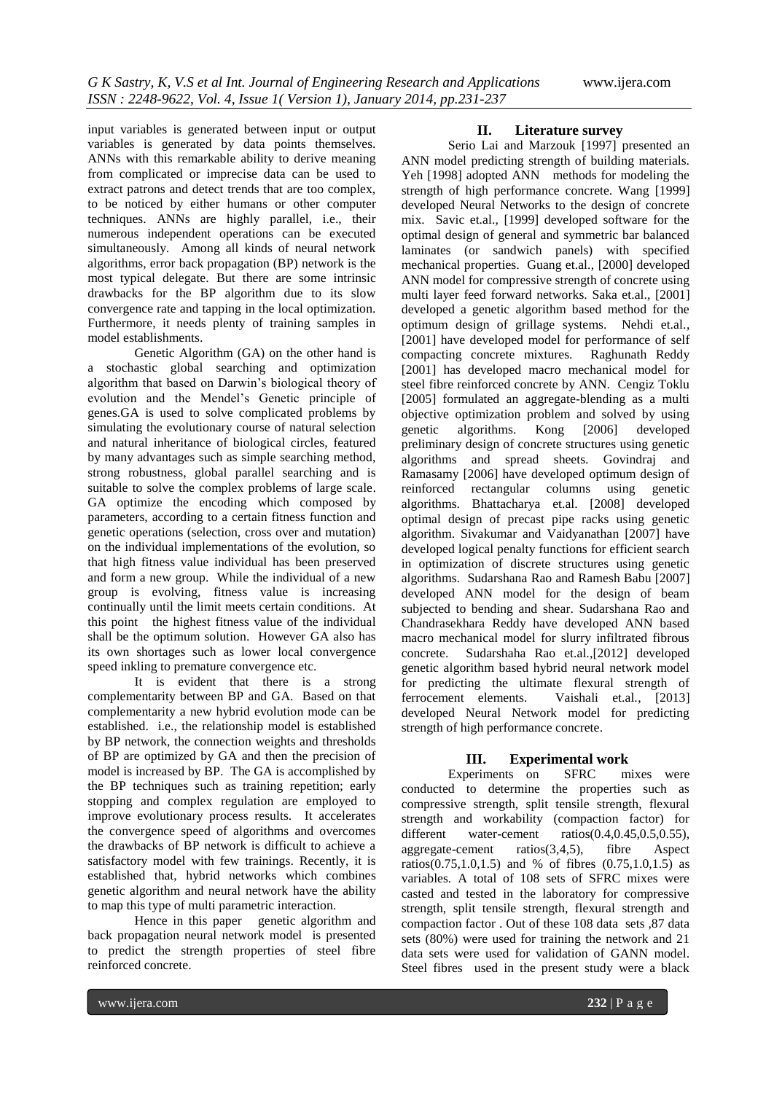input variables is generated between input or output variables is generated by data points themselves. ANNs with this remarkable ability to derive meaning from complicated or imprecise data can be used to extract patrons and detect trends that are too complex, to be noticed by either humans or other computer techniques. ANNs are highly parallel, i.e., their numerous independent operations can be executed simultaneously. Among all kinds of neural network algorithms, error back propagation (BP) network is the most typical delegate. But there are some intrinsic drawbacks for the BP algorithm due to its slow convergence rate and tapping in the local optimization. Furthermore, it needs plenty of training samples in model establishments.

Genetic Algorithm (GA) on the other hand is a stochastic global searching and optimization algorithm that based on Darwin's biological theory of evolution and the Mendel's Genetic principle of genes.GA is used to solve complicated problems by simulating the evolutionary course of natural selection and natural inheritance of biological circles, featured by many advantages such as simple searching method, strong robustness, global parallel searching and is suitable to solve the complex problems of large scale. GA optimize the encoding which composed by parameters, according to a certain fitness function and genetic operations (selection, cross over and mutation) on the individual implementations of the evolution, so that high fitness value individual has been preserved and form a new group. While the individual of a new group is evolving, fitness value is increasing continually until the limit meets certain conditions. At this point the highest fitness value of the individual shall be the optimum solution. However GA also has its own shortages such as lower local convergence speed inkling to premature convergence etc.

It is evident that there is a strong complementarity between BP and GA. Based on that complementarity a new hybrid evolution mode can be established. i.e., the relationship model is established by BP network, the connection weights and thresholds of BP are optimized by GA and then the precision of model is increased by BP. The GA is accomplished by the BP techniques such as training repetition; early stopping and complex regulation are employed to improve evolutionary process results. It accelerates the convergence speed of algorithms and overcomes the drawbacks of BP network is difficult to achieve a satisfactory model with few trainings. Recently, it is established that, hybrid networks which combines genetic algorithm and neural network have the ability to map this type of multi parametric interaction.

Hence in this paper genetic algorithm and back propagation neural network model is presented to predict the strength properties of steel fibre reinforced concrete.

#### **II. Literature survey**

Serio Lai and Marzouk [1997] presented an ANN model predicting strength of building materials. Yeh [1998] adopted ANN methods for modeling the strength of high performance concrete. Wang [1999] developed Neural Networks to the design of concrete mix. Savic et.al., [1999] developed software for the optimal design of general and symmetric bar balanced laminates (or sandwich panels) with specified mechanical properties. Guang et.al., [2000] developed ANN model for compressive strength of concrete using multi layer feed forward networks. Saka et.al., [2001] developed a genetic algorithm based method for the optimum design of grillage systems. Nehdi et.al., [2001] have developed model for performance of self compacting concrete mixtures. Raghunath Reddy [2001] has developed macro mechanical model for steel fibre reinforced concrete by ANN. Cengiz Toklu [2005] formulated an aggregate-blending as a multi objective optimization problem and solved by using genetic algorithms. Kong [2006] developed preliminary design of concrete structures using genetic algorithms and spread sheets. Govindraj and Ramasamy [2006] have developed optimum design of reinforced rectangular columns using genetic algorithms. Bhattacharya et.al. [2008] developed optimal design of precast pipe racks using genetic algorithm. Sivakumar and Vaidyanathan [2007] have developed logical penalty functions for efficient search in optimization of discrete structures using genetic algorithms. Sudarshana Rao and Ramesh Babu [2007] developed ANN model for the design of beam subjected to bending and shear. Sudarshana Rao and Chandrasekhara Reddy have developed ANN based macro mechanical model for slurry infiltrated fibrous concrete. Sudarshaha Rao et.al.,[2012] developed genetic algorithm based hybrid neural network model for predicting the ultimate flexural strength of ferrocement elements. Vaishali et.al., [2013] developed Neural Network model for predicting strength of high performance concrete.

#### **III. Experimental work**

Experiments on SFRC mixes were conducted to determine the properties such as compressive strength, split tensile strength, flexural strength and workability (compaction factor) for different water-cement ratios(0.4,0.45,0.5,0.55), aggregate-cement ratios(3,4,5), fibre Aspect ratios(0.75,1.0,1.5) and % of fibres (0.75,1.0,1.5) as variables. A total of 108 sets of SFRC mixes were casted and tested in the laboratory for compressive strength, split tensile strength, flexural strength and compaction factor . Out of these 108 data sets ,87 data sets (80%) were used for training the network and 21 data sets were used for validation of GANN model. Steel fibres used in the present study were a black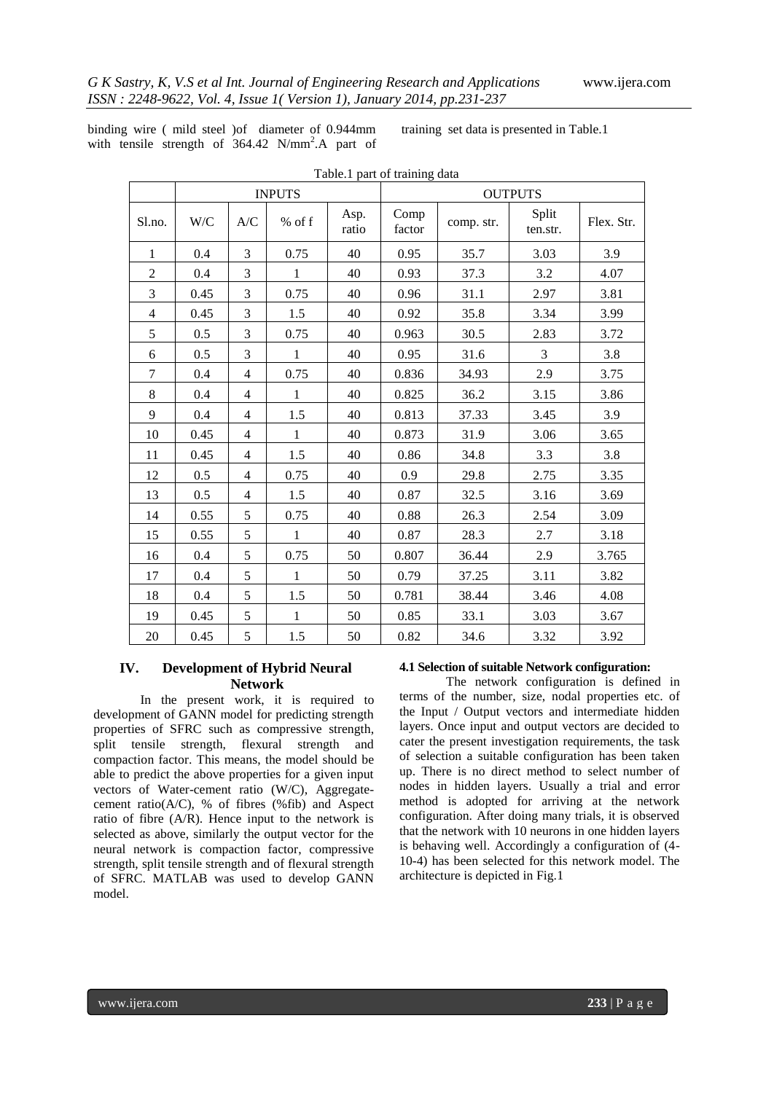binding wire ( mild steel )of diameter of 0.944mm with tensile strength of 364.42 N/mm<sup>2</sup>.A part of training set data is presented in Table.1

|                | <b>INPUTS</b> |                |              |               | <b>OUTPUTS</b> |            |                   |            |
|----------------|---------------|----------------|--------------|---------------|----------------|------------|-------------------|------------|
| Sl.no.         | W/C           | A/C            | % of f       | Asp.<br>ratio | Comp<br>factor | comp. str. | Split<br>ten.str. | Flex. Str. |
| 1              | 0.4           | 3              | 0.75         | 40            | 0.95           | 35.7       | 3.03              | 3.9        |
| $\overline{2}$ | 0.4           | 3              | $\mathbf{1}$ | 40            | 0.93           | 37.3       | 3.2               | 4.07       |
| 3              | 0.45          | 3              | 0.75         | 40            | 0.96           | 31.1       | 2.97              | 3.81       |
| $\overline{4}$ | 0.45          | 3              | 1.5          | 40            | 0.92           | 35.8       | 3.34              | 3.99       |
| 5              | 0.5           | 3              | 0.75         | 40            | 0.963          | 30.5       | 2.83              | 3.72       |
| 6              | 0.5           | 3              | $\mathbf 1$  | 40            | 0.95           | 31.6       | 3                 | 3.8        |
| 7              | 0.4           | $\overline{4}$ | 0.75         | 40            | 0.836          | 34.93      | 2.9               | 3.75       |
| 8              | 0.4           | 4              | $\mathbf{1}$ | 40            | 0.825          | 36.2       | 3.15              | 3.86       |
| 9              | 0.4           | $\overline{4}$ | $1.5\,$      | 40            | 0.813          | 37.33      | 3.45              | 3.9        |
| 10             | 0.45          | $\overline{4}$ | $\mathbf 1$  | 40            | 0.873          | 31.9       | 3.06              | 3.65       |
| 11             | 0.45          | $\overline{4}$ | 1.5          | 40            | 0.86           | 34.8       | 3.3               | 3.8        |
| 12             | 0.5           | $\overline{4}$ | 0.75         | 40            | 0.9            | 29.8       | 2.75              | 3.35       |
| 13             | 0.5           | $\overline{4}$ | 1.5          | 40            | 0.87           | 32.5       | 3.16              | 3.69       |
| 14             | 0.55          | 5              | 0.75         | 40            | 0.88           | 26.3       | 2.54              | 3.09       |
| 15             | 0.55          | 5              | $\mathbf 1$  | 40            | 0.87           | 28.3       | 2.7               | 3.18       |
| 16             | 0.4           | 5              | 0.75         | 50            | 0.807          | 36.44      | 2.9               | 3.765      |
| 17             | 0.4           | 5              | $\mathbf{1}$ | 50            | 0.79           | 37.25      | 3.11              | 3.82       |
| 18             | 0.4           | 5              | 1.5          | 50            | 0.781          | 38.44      | 3.46              | 4.08       |
| 19             | 0.45          | 5              | $\mathbf 1$  | 50            | 0.85           | 33.1       | 3.03              | 3.67       |
| $20\,$         | 0.45          | 5              | 1.5          | 50            | 0.82           | 34.6       | 3.32              | 3.92       |

## Table.1 part of training data

## **IV. Development of Hybrid Neural Network**

In the present work, it is required to development of GANN model for predicting strength properties of SFRC such as compressive strength, split tensile strength, flexural strength and compaction factor. This means, the model should be able to predict the above properties for a given input vectors of Water-cement ratio (W/C), Aggregatecement ratio( $A/C$ ), % of fibres (%fib) and Aspect ratio of fibre (A/R). Hence input to the network is selected as above, similarly the output vector for the neural network is compaction factor, compressive strength, split tensile strength and of flexural strength of SFRC. MATLAB was used to develop GANN model.

#### **4.1 Selection of suitable Network configuration:**

The network configuration is defined in terms of the number, size, nodal properties etc. of the Input / Output vectors and intermediate hidden layers. Once input and output vectors are decided to cater the present investigation requirements, the task of selection a suitable configuration has been taken up. There is no direct method to select number of nodes in hidden layers. Usually a trial and error method is adopted for arriving at the network configuration. After doing many trials, it is observed that the network with 10 neurons in one hidden layers is behaving well. Accordingly a configuration of (4- 10-4) has been selected for this network model. The architecture is depicted in Fig.1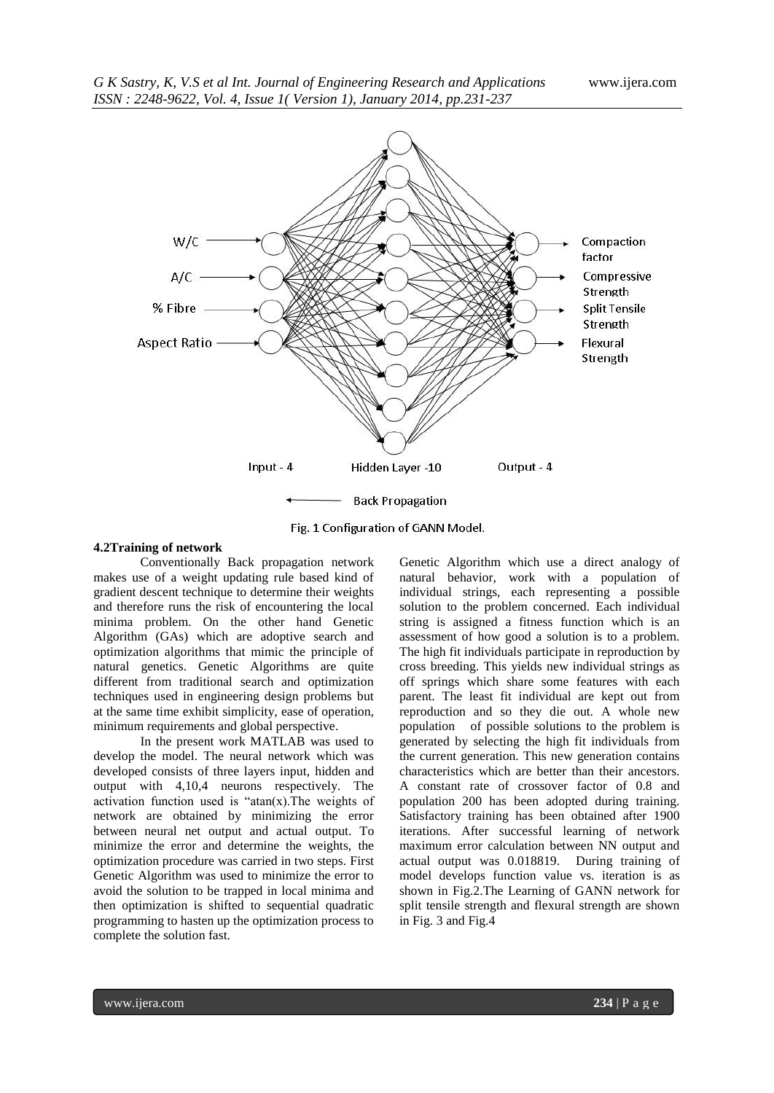

Fig. 1 Configuration of GANN Model.

## **4.2Training of network**

Conventionally Back propagation network makes use of a weight updating rule based kind of gradient descent technique to determine their weights and therefore runs the risk of encountering the local minima problem. On the other hand Genetic Algorithm (GAs) which are adoptive search and optimization algorithms that mimic the principle of natural genetics. Genetic Algorithms are quite different from traditional search and optimization techniques used in engineering design problems but at the same time exhibit simplicity, ease of operation, minimum requirements and global perspective.

In the present work MATLAB was used to develop the model. The neural network which was developed consists of three layers input, hidden and output with 4,10,4 neurons respectively. The activation function used is " $atan(x)$ . The weights of network are obtained by minimizing the error between neural net output and actual output. To minimize the error and determine the weights, the optimization procedure was carried in two steps. First Genetic Algorithm was used to minimize the error to avoid the solution to be trapped in local minima and then optimization is shifted to sequential quadratic programming to hasten up the optimization process to complete the solution fast.

Genetic Algorithm which use a direct analogy of natural behavior, work with a population of individual strings, each representing a possible solution to the problem concerned. Each individual string is assigned a fitness function which is an assessment of how good a solution is to a problem. The high fit individuals participate in reproduction by cross breeding. This yields new individual strings as off springs which share some features with each parent. The least fit individual are kept out from reproduction and so they die out. A whole new population of possible solutions to the problem is generated by selecting the high fit individuals from the current generation. This new generation contains characteristics which are better than their ancestors. A constant rate of crossover factor of 0.8 and population 200 has been adopted during training. Satisfactory training has been obtained after 1900 iterations. After successful learning of network maximum error calculation between NN output and actual output was 0.018819. During training of model develops function value vs. iteration is as shown in Fig.2.The Learning of GANN network for split tensile strength and flexural strength are shown in Fig. 3 and Fig.4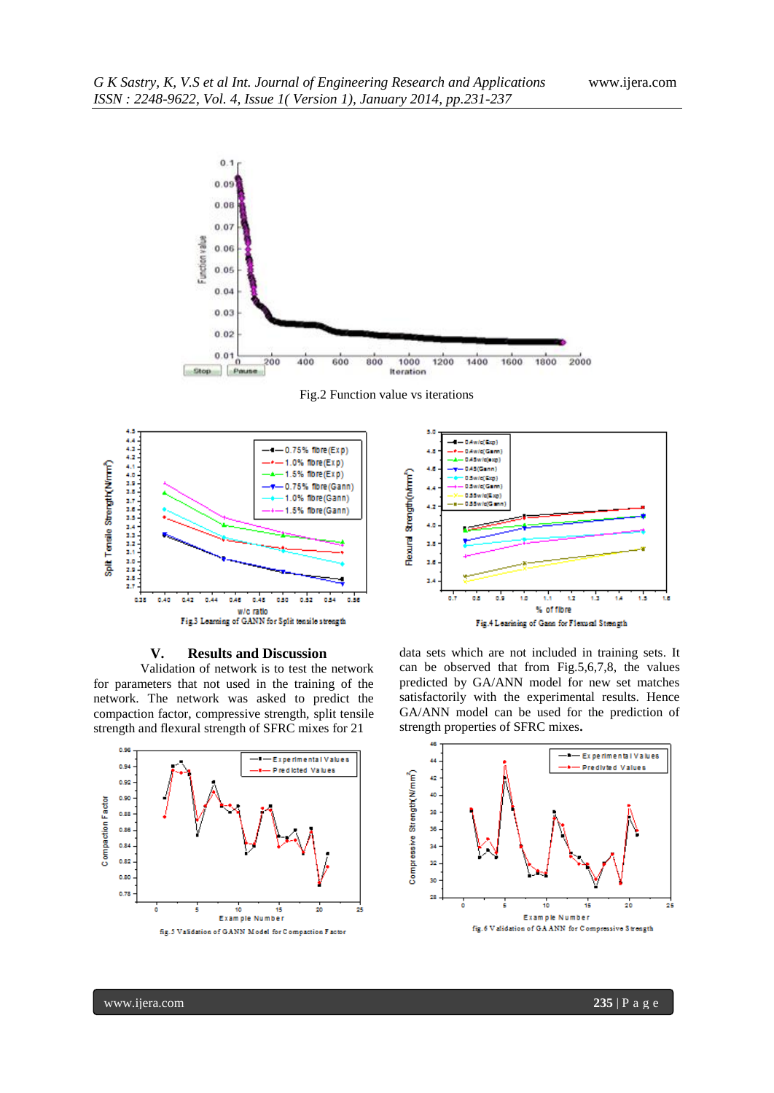





## **V. Results and Discussion**

Validation of network is to test the network for parameters that not used in the training of the network. The network was asked to predict the compaction factor, compressive strength, split tensile strength and flexural strength of SFRC mixes for 21





data sets which are not included in training sets. It can be observed that from Fig.5,6,7,8, the values predicted by GA/ANN model for new set matches satisfactorily with the experimental results. Hence GA/ANN model can be used for the prediction of strength properties of SFRC mixes**.**

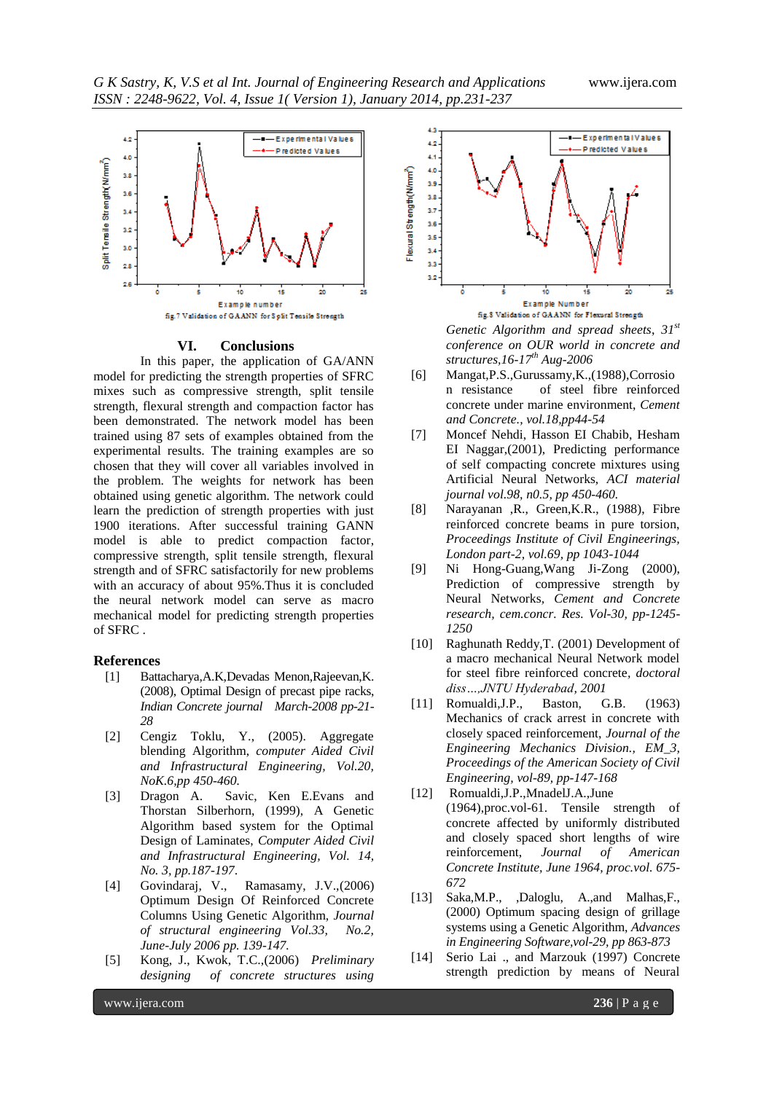*G K Sastry, K, V.S et al Int. Journal of Engineering Research and Applications* www.ijera.com *ISSN : 2248-9622, Vol. 4, Issue 1( Version 1), January 2014, pp.231-237*



#### **VI. Conclusions**

In this paper, the application of GA/ANN model for predicting the strength properties of SFRC mixes such as compressive strength, split tensile strength, flexural strength and compaction factor has been demonstrated. The network model has been trained using 87 sets of examples obtained from the experimental results. The training examples are so chosen that they will cover all variables involved in the problem. The weights for network has been obtained using genetic algorithm. The network could learn the prediction of strength properties with just 1900 iterations. After successful training GANN model is able to predict compaction factor, compressive strength, split tensile strength, flexural strength and of SFRC satisfactorily for new problems with an accuracy of about 95%.Thus it is concluded the neural network model can serve as macro mechanical model for predicting strength properties of SFRC .

#### **References**

- [1] Battacharya,A.K,Devadas Menon,Rajeevan,K. (2008), Optimal Design of precast pipe racks, *Indian Concrete journal March-2008 pp-21- 28*
- [2] Cengiz Toklu, Y., (2005). Aggregate blending Algorithm, *computer Aided Civil and Infrastructural Engineering, Vol.20, NoK.6,pp 450-460.*
- [3] Dragon A. Savic, Ken E.Evans and Thorstan Silberhorn, (1999), A Genetic Algorithm based system for the Optimal Design of Laminates, *Computer Aided Civil and Infrastructural Engineering, Vol. 14, No. 3, pp.187-197*.
- [4] Govindaraj, V., Ramasamy, J.V.,(2006) Optimum Design Of Reinforced Concrete Columns Using Genetic Algorithm, *Journal of structural engineering Vol.33, No.2, June-July 2006 pp. 139-147.*
- [5] Kong, J., Kwok, T.C.,(2006) *Preliminary designing of concrete structures using*



*Genetic Algorithm and spread sheets*, *31st conference on OUR world in concrete and structures,16-17th Aug-2006*

- [6] Mangat,P.S.,Gurussamy,K.,(1988),Corrosio n resistance of steel fibre reinforced concrete under marine environment, *Cement and Concrete., vol.18,pp44-54*
- [7] Moncef Nehdi, Hasson EI Chabib, Hesham EI Naggar,(2001), Predicting performance of self compacting concrete mixtures using Artificial Neural Networks, *ACI material journal vol.98, n0.5, pp 450-460.*
- [8] Narayanan ,R., Green,K.R., (1988), Fibre reinforced concrete beams in pure torsion, *Proceedings Institute of Civil Engineerings, London part-2, vol.69, pp 1043-1044*
- [9] Ni Hong-Guang,Wang Ji-Zong (2000), Prediction of compressive strength by Neural Networks*, Cement and Concrete research, cem.concr. Res. Vol-30, pp-1245- 1250*
- [10] Raghunath Reddy,T. (2001) Development of a macro mechanical Neural Network model for steel fibre reinforced concrete*, doctoral diss…,JNTU Hyderabad, 2001*
- [11] Romualdi,J.P., Baston, G.B. (1963) Mechanics of crack arrest in concrete with closely spaced reinforcement, *Journal of the Engineering Mechanics Division., EM\_3, Proceedings of the American Society of Civil Engineering, vol-89, pp-147-168*
- [12] Romualdi,J.P.,MnadelJ.A.,June (1964),proc.vol-61. Tensile strength of concrete affected by uniformly distributed and closely spaced short lengths of wire reinforcement, *Journal of American Concrete Institute, June 1964, proc.vol. 675- 672*
- [13] Saka,M.P., ,Daloglu, A.,and Malhas,F., (2000) Optimum spacing design of grillage systems using a Genetic Algorithm, *Advances in Engineering Software,vol-29, pp 863-873*
- [14] Serio Lai ., and Marzouk (1997) Concrete strength prediction by means of Neural